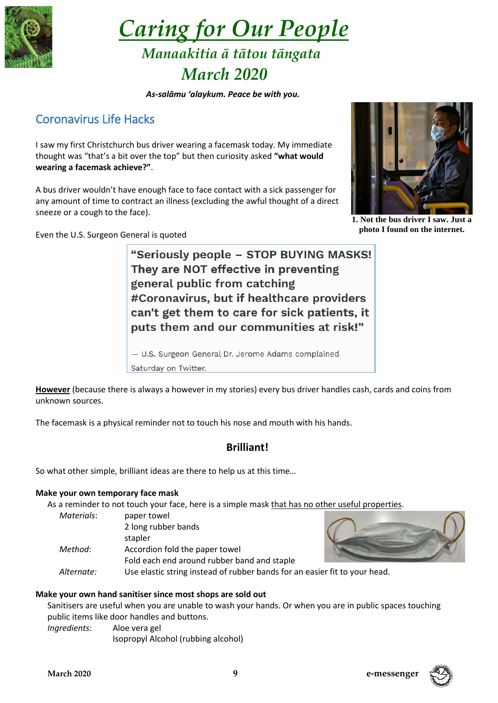

 *Caring for Our People Manaakitia ā tātou tāngata*

# *March 2020*

### *As-salāmu 'alaykum. Peace be with you.*

# Coronavirus Life Hacks

I saw my first Christchurch bus driver wearing a facemask today. My immediate thought was "that's a bit over the top" but then curiosity asked **"what would wearing a facemask achieve?"**.

A bus driver wouldn't have enough face to face contact with a sick passenger for any amount of time to contract an illness (excluding the awful thought of a direct sneeze or a cough to the face).



"Seriously people - STOP BUYING MASKS! They are NOT effective in preventing general public from catching #Coronavirus, but if healthcare providers can't get them to care for sick patients, it puts them and our communities at risk!"

- U.S. Surgeon General Dr. Jerome Adams complained Saturday on Twitter.

**However** (because there is always a however in my stories) every bus driver handles cash, cards and coins from unknown sources.

The facemask is a physical reminder not to touch his nose and mouth with his hands.

# **Brilliant!**

So what other simple, brilliant ideas are there to help us at this time…

## **Make your own temporary face mask**

As a reminder to not touch your face, here is a simple mask that has no other useful properties.

| Materials: | paper towel                                                        |  |
|------------|--------------------------------------------------------------------|--|
|            | 2 long rubber bands                                                |  |
|            | stapler                                                            |  |
| Method:    | Accordion fold the paper towel                                     |  |
|            | Fold each end around rubber band and staple                        |  |
| Alternate: | Use elastic string instead of rubber bands for an easier forestion |  |



fit to vour head.

## **Make your own hand sanitiser since most shops are sold out**

Sanitisers are useful when you are unable to wash your hands. Or when you are in public spaces touching public items like door handles and buttons.

*Ingredients*: Aloe vera gel

```
Isopropyl Alcohol (rubbing alcohol)
```


**1. Not the bus driver I saw. Just a photo I found on the internet.**